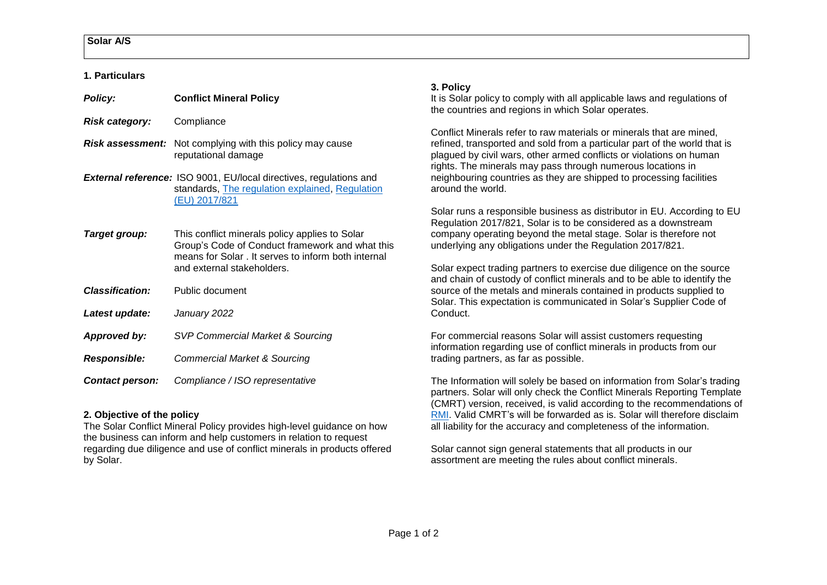#### **1. Particulars**

### *Policy:* **Conflict Mineral Policy**

- *Risk category:*Compliance
- *Risk assessment:* Not complying with this policy may cause reputational damage
- *External reference:* ISO 9001, EU/local directives, regulations and standards, [The regulation explained,](https://ec.europa.eu/trade/policy/in-focus/conflict-minerals-regulation/regulation-explained/) [Regulation](https://eur-lex.europa.eu/legal-content/EN/TXT/?uri=celex%3A32017R0821)  [\(EU\) 2017/821](https://eur-lex.europa.eu/legal-content/EN/TXT/?uri=celex%3A32017R0821)
- **Target group:** This conflict minerals policy applies to Solar Group's Code of Conduct framework and what this means for Solar . It serves to inform both internal and external stakeholders.
- *Classification:* Public document
- *Latest update: January 2022*
- *Approved by: SVP Commercial Market & Sourcing*
- *Responsible: Commercial Market & Sourcing*
- *Contact person: Compliance / ISO representative*

# **2. Objective of the policy**

The Solar Conflict Mineral Policy provides high-level guidance on how the business can inform and help customers in relation to request regarding due diligence and use of conflict minerals in products offered by Solar.

## **3. Policy**

It is Solar policy to comply with all applicable laws and regulations of the countries and regions in which Solar operates.

Conflict Minerals refer to raw materials or minerals that are mined, refined, transported and sold from a particular part of the world that is plagued by civil wars, other armed conflicts or violations on human rights. The minerals may pass through numerous locations in neighbouring countries as they are shipped to processing facilities around the world.

Solar runs a responsible business as distributor in EU. According to EU Regulation 2017/821, Solar is to be considered as a downstream company operating beyond the metal stage. Solar is therefore not underlying any obligations under the Regulation 2017/821.

Solar expect trading partners to exercise due diligence on the source and chain of custody of conflict minerals and to be able to identify the source of the metals and minerals contained in products supplied to Solar. This expectation is communicated in Solar's Supplier Code of Conduct.

For commercial reasons Solar will assist customers requesting information regarding use of conflict minerals in products from our trading partners, as far as possible.

The Information will solely be based on information from Solar's trading partners. Solar will only check the Conflict Minerals Reporting Template (CMRT) version, received, is valid according to the recommendations of [RMI.](http://www.responsiblemineralsinitiative.org/reporting-templates/cmrt/) Valid CMRT's will be forwarded as is. Solar will therefore disclaim all liability for the accuracy and completeness of the information.

Solar cannot sign general statements that all products in our assortment are meeting the rules about conflict minerals.